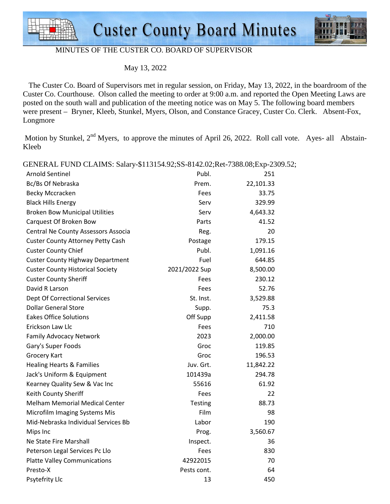



## MINUTES OF THE CUSTER CO. BOARD OF SUPERVISOR

May 13, 2022

 The Custer Co. Board of Supervisors met in regular session, on Friday, May 13, 2022, in the boardroom of the Custer Co. Courthouse. Olson called the meeting to order at 9:00 a.m. and reported the Open Meeting Laws are posted on the south wall and publication of the meeting notice was on May 5. The following board members were present – Bryner, Kleeb, Stunkel, Myers, Olson, and Constance Gracey, Custer Co. Clerk. Absent-Fox, Longmore

Motion by Stunkel,  $2<sup>nd</sup>$  Myers, to approve the minutes of April 26, 2022. Roll call vote. Ayes- all Abstain-Kleeb

Arnold Sentinel 251 and 251 and 251 and 251 and 251 and 251 and 251 and 251 and 251 and 251 and 251 and 251 and 251 and 251 and 251 and 251 and 251 and 251 and 251 and 251 and 251 and 251 and 251 and 251 and 251 and 251 an Bc/Bs Of Nebraska **Prem.** 22,101.33 Becky Mccracken and The Controller Controller and Tees and the State 33.75 Black Hills Energy Serv 329.99 Broken Bow Municipal Utilities Serv 5.643.32 Carquest Of Broken Bow Parts 41.52 Central Ne County Assessors Associa and Reg. 20 Custer County Attorney Petty Cash Postage 179.15 Custer County Chief **Publ.** 2,091.16 Custer County Highway Department Fuel Fuel 644.85 Custer County Historical Society 2021/2022 Sup 8,500.00 Custer County Sheriff Fees 230.12 David R Larson **Fees** 52.76 Dept Of Correctional Services and St. Inst. 3,529.88 **Dollar General Store Supp. 25.3** Supp. 25.3 Eakes Office Solutions **Eakes** Off Supp 2,411.58 Erickson Law Llc **Fees** 710 Family Advocacy Network 2023 2,000.00 Gary's Super Foods Groc 6. The Groce 6. The Groce 6. The Groce 6. The Groce 6. The Groce 6. The Groce 6. The G Grocery Kart **Group** Control 196.53 Healing Hearts & Families Juv. Grt. 11,842.22 Jack's Uniform & Equipment 101439a 294.78 Kearney Quality Sew & Vac Inc 61.92 Keith County Sheriff Fees and the County Sheriff Fees and the Society of the Society of the Society of the Society of the Society of the Society of the Society of the Society of the Society of the Society of the Society of Melham Memorial Medical Center Testing Testing 88.73 Microfilm Imaging Systems Mis Film 698 Mid-Nebraska Individual Services Bb Labor 190 Mips Inc **Prog.** 2,560.67 Ne State Fire Marshall **Inspect.** 36 Peterson Legal Services Pc Llo **Fees** 830 Platte Valley Communications and the communications of the 42922015 and the 42922015 of the 42922015 and the  $\sim$  70 Presto-X 64 Psytefrity Llc **13** 450

GENERAL FUND CLAIMS: Salary-\$113154.92;SS-8142.02;Ret-7388.08;Exp-2309.52;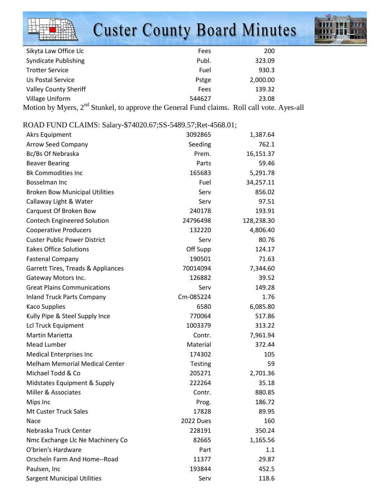## **Custer County Board Minutes**



| Sikyta Law Office Llc        | Fees   | 200      |  |
|------------------------------|--------|----------|--|
| <b>Syndicate Publishing</b>  | Publ.  | 323.09   |  |
| <b>Trotter Service</b>       | Fuel   | 930.3    |  |
| Us Postal Service            | Pstge  | 2,000.00 |  |
| <b>Valley County Sheriff</b> | Fees   | 139.32   |  |
| <b>Village Uniform</b>       | 544627 | 23.08    |  |
|                              |        |          |  |

Motion by Myers,  $2^{nd}$  Stunkel, to approve the General Fund claims. Roll call vote. Ayes-all

## ROAD FUND CLAIMS: Salary-\$74020.67;SS-5489.57;Ret-4568.01;

| <b>Akrs Equipment</b>                 | 3092865        | 1,387.64   |
|---------------------------------------|----------------|------------|
| Arrow Seed Company                    | Seeding        | 762.1      |
| Bc/Bs Of Nebraska                     | Prem.          | 16,151.37  |
| <b>Beaver Bearing</b>                 | Parts          | 59.46      |
| <b>Bk Commodities Inc</b>             | 165683         | 5,291.78   |
| <b>Bosselman Inc</b>                  | Fuel           | 34,257.11  |
| <b>Broken Bow Municipal Utilities</b> | Serv           | 856.02     |
| Callaway Light & Water                | Serv           | 97.51      |
| Carquest Of Broken Bow                | 240178         | 193.91     |
| <b>Contech Engineered Solution</b>    | 24796498       | 128,238.30 |
| <b>Cooperative Producers</b>          | 132220         | 4,806.40   |
| <b>Custer Public Power District</b>   | Serv           | 80.76      |
| <b>Eakes Office Solutions</b>         | Off Supp       | 124.17     |
| <b>Fastenal Company</b>               | 190501         | 71.63      |
| Garrett Tires, Treads & Appliances    | 70014094       | 7,344.60   |
| Gateway Motors Inc.                   | 126882         | 39.52      |
| <b>Great Plains Communications</b>    | Serv           | 149.28     |
| <b>Inland Truck Parts Company</b>     | Cm-085224      | 1.76       |
| <b>Kaco Supplies</b>                  | 6580           | 6,085.80   |
| Kully Pipe & Steel Supply Ince        | 770064         | 517.86     |
| <b>Lcl Truck Equipment</b>            | 1003379        | 313.22     |
| <b>Martin Marietta</b>                | Contr.         | 7,961.94   |
| <b>Mead Lumber</b>                    | Material       | 372.44     |
| <b>Medical Enterprises Inc</b>        | 174302         | 105        |
| <b>Melham Memorial Medical Center</b> | <b>Testing</b> | 59         |
| Michael Todd & Co                     | 205271         | 2,701.36   |
| Midstates Equipment & Supply          | 222264         | 35.18      |
| Miller & Associates                   | Contr.         | 880.85     |
| Mips Inc                              | Prog.          | 186.72     |
| <b>Mt Custer Truck Sales</b>          | 17828          | 89.95      |
| Nace                                  | 2022 Dues      | 160        |
| Nebraska Truck Center                 | 228191         | 350.24     |
| Nmc Exchange Llc Ne Machinery Co      | 82665          | 1,165.56   |
| O'brien's Hardware                    | Part           | 1.1        |
| Orscheln Farm And Home--Road          | 11377          | 29.87      |
| Paulsen, Inc                          | 193844         | 452.5      |
| <b>Sargent Municipal Utilities</b>    | Serv           | 118.6      |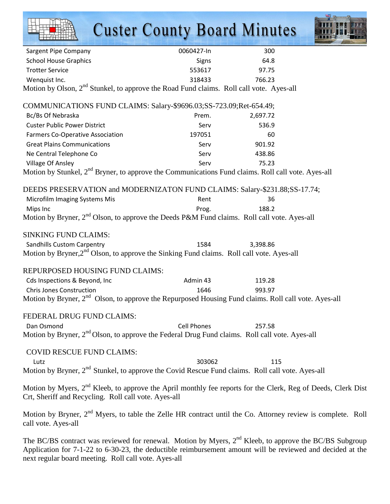|                                                                                                                                                                                                                                                                                          | <b>Custer County Board Minutes</b> |          |  |
|------------------------------------------------------------------------------------------------------------------------------------------------------------------------------------------------------------------------------------------------------------------------------------------|------------------------------------|----------|--|
| <b>Sargent Pipe Company</b>                                                                                                                                                                                                                                                              | 0060427-In                         | 300      |  |
| <b>School House Graphics</b>                                                                                                                                                                                                                                                             | Signs                              | 64.8     |  |
| <b>Trotter Service</b>                                                                                                                                                                                                                                                                   | 553617                             | 97.75    |  |
| Wenquist Inc.                                                                                                                                                                                                                                                                            | 318433                             | 766.23   |  |
| Motion by Olson, 2 <sup>nd</sup> Stunkel, to approve the Road Fund claims. Roll call vote. Ayes-all                                                                                                                                                                                      |                                    |          |  |
| COMMUNICATIONS FUND CLAIMS: Salary-\$9696.03;SS-723.09;Ret-654.49;                                                                                                                                                                                                                       |                                    |          |  |
| Bc/Bs Of Nebraska                                                                                                                                                                                                                                                                        | Prem.                              | 2,697.72 |  |
| <b>Custer Public Power District</b>                                                                                                                                                                                                                                                      | Serv                               | 536.9    |  |
| <b>Farmers Co-Operative Association</b>                                                                                                                                                                                                                                                  | 197051                             | 60       |  |
| <b>Great Plains Communications</b>                                                                                                                                                                                                                                                       | Serv                               | 901.92   |  |
| Ne Central Telephone Co                                                                                                                                                                                                                                                                  | Serv                               | 438.86   |  |
| Village Of Ansley                                                                                                                                                                                                                                                                        | Serv                               | 75.23    |  |
| Motion by Stunkel, 2 <sup>nd</sup> Bryner, to approve the Communications Fund claims. Roll call vote. Ayes-all                                                                                                                                                                           |                                    |          |  |
| DEEDS PRESERVATION and MODERNIZATON FUND CLAIMS: Salary-\$231.88;SS-17.74;                                                                                                                                                                                                               |                                    |          |  |
| Microfilm Imaging Systems Mis                                                                                                                                                                                                                                                            | Rent                               | 36       |  |
| Mips Inc                                                                                                                                                                                                                                                                                 | Prog.                              | 188.2    |  |
| Motion by Bryner, 2 <sup>nd</sup> Olson, to approve the Deeds P&M Fund claims. Roll call vote. Ayes-all                                                                                                                                                                                  |                                    |          |  |
| <b>SINKING FUND CLAIMS:</b>                                                                                                                                                                                                                                                              |                                    |          |  |
| Sandhills Custom Carpentry                                                                                                                                                                                                                                                               | 1584                               | 3,398.86 |  |
| Motion by Bryner, 2 <sup>nd</sup> Olson, to approve the Sinking Fund claims. Roll call vote. Ayes-all                                                                                                                                                                                    |                                    |          |  |
| REPURPOSED HOUSING FUND CLAIMS:                                                                                                                                                                                                                                                          |                                    |          |  |
| Cds Inspections & Beyond, Inc                                                                                                                                                                                                                                                            | Admin 43                           | 119.28   |  |
| <b>Chris Jones Construction</b>                                                                                                                                                                                                                                                          | 1646                               | 993.97   |  |
| Motion by Bryner, 2 <sup>nd</sup> Olson, to approve the Repurposed Housing Fund claims. Roll call vote. Ayes-all                                                                                                                                                                         |                                    |          |  |
| FEDERAL DRUG FUND CLAIMS:                                                                                                                                                                                                                                                                |                                    |          |  |
| Dan Osmond                                                                                                                                                                                                                                                                               | <b>Cell Phones</b>                 | 257.58   |  |
| Motion by Bryner, 2 <sup>nd</sup> Olson, to approve the Federal Drug Fund claims. Roll call vote. Ayes-all                                                                                                                                                                               |                                    |          |  |
| <b>COVID RESCUE FUND CLAIMS:</b><br>Lutz                                                                                                                                                                                                                                                 | 303062                             | 115      |  |
| Motion by Bryner, 2 <sup>nd</sup> Stunkel, to approve the Covid Rescue Fund claims. Roll call vote. Ayes-all                                                                                                                                                                             |                                    |          |  |
| Motion by Myers, 2 <sup>nd</sup> Kleeb, to approve the April monthly fee reports for the Clerk, Reg of Deeds, Clerk Dist<br>Crt, Sheriff and Recycling. Roll call vote. Ayes-all                                                                                                         |                                    |          |  |
| Motion by Bryner, 2 <sup>nd</sup> Myers, to table the Zelle HR contract until the Co. Attorney review is complete. Roll<br>call vote. Ayes-all                                                                                                                                           |                                    |          |  |
| The BC/BS contract was reviewed for renewal. Motion by Myers, 2 <sup>nd</sup> Kleeb, to approve the BC/BS Subgroup<br>Application for 7-1-22 to 6-30-23, the deductible reimbursement amount will be reviewed and decided at the<br>next regular board meeting. Roll call vote. Ayes-all |                                    |          |  |